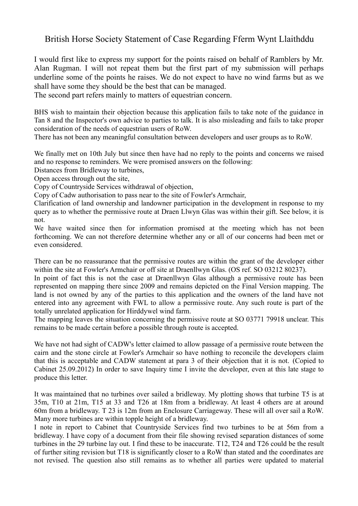## British Horse Society Statement of Case Regarding Fferm Wynt Llaithddu

I would first like to express my support for the points raised on behalf of Ramblers by Mr. Alan Rugman. I will not repeat them but the first part of my submission will perhaps underline some of the points he raises. We do not expect to have no wind farms but as we shall have some they should be the best that can be managed.

The second part refers mainly to matters of equestrian concern.

BHS wish to maintain their objection because this application fails to take note of the guidance in Tan 8 and the Inspector's own advice to parties to talk. It is also misleading and fails to take proper consideration of the needs of equestrian users of RoW.

There has not been any meaningful consultation between developers and user groups as to RoW.

We finally met on 10th July but since then have had no reply to the points and concerns we raised and no response to reminders. We were promised answers on the following:

Distances from Bridleway to turbines,

Open access through out the site,

Copy of Countryside Services withdrawal of objection,

Copy of Cadw authorisation to pass near to the site of Fowler's Armchair,

Clarification of land ownership and landowner participation in the development in response to my query as to whether the permissive route at Draen Llwyn Glas was within their gift. See below, it is not.

We have waited since then for information promised at the meeting which has not been forthcoming. We can not therefore determine whether any or all of our concerns had been met or even considered.

There can be no reassurance that the permissive routes are within the grant of the developer either within the site at Fowler's Armchair or off site at Draenllwyn Glas. (OS ref. SO 03212 80237).

In point of fact this is not the case at Draenllwyn Glas although a permissive route has been represented on mapping there since 2009 and remains depicted on the Final Version mapping. The land is not owned by any of the parties to this application and the owners of the land have not entered into any agreement with FWL to allow a permissive route. Any such route is part of the totally unrelated application for Hirddywel wind farm.

The mapping leaves the situation concerning the permissive route at SO 03771 79918 unclear. This remains to be made certain before a possible through route is accepted.

We have not had sight of CADW's letter claimed to allow passage of a permissive route between the cairn and the stone circle at Fowler's Armchair so have nothing to reconcile the developers claim that this is acceptable and CADW statement at para 3 of their objection that it is not. (Copied to Cabinet 25.09.2012) In order to save Inquiry time I invite the developer, even at this late stage to produce this letter.

It was maintained that no turbines over sailed a bridleway. My plotting shows that turbine T5 is at 35m, T10 at 21m, T15 at 33 and T26 at 18m from a bridleway. At least 4 others are at around 60m from a bridleway. T 23 is 12m from an Enclosure Carriageway. These will all over sail a RoW. Many more turbines are within topple height of a bridleway.

I note in report to Cabinet that Countryside Services find two turbines to be at 56m from a bridleway. I have copy of a document from their file showing revised separation distances of some turbines in the 29 turbine lay out. I find these to be inaccurate. T12, T24 and T26 could be the result of further siting revision but T18 is significantly closer to a RoW than stated and the coordinates are not revised. The question also still remains as to whether all parties were updated to material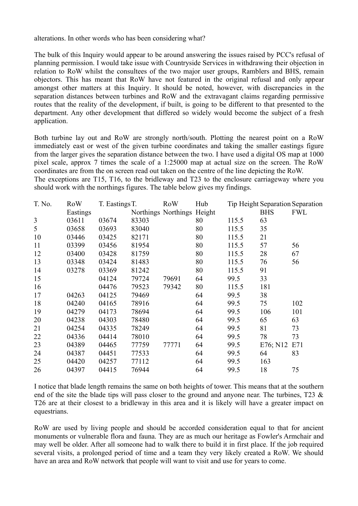alterations. In other words who has been considering what?

The bulk of this Inquiry would appear to be around answering the issues raised by PCC's refusal of planning permission. I would take issue with Countryside Services in withdrawing their objection in relation to RoW whilst the consultees of the two major user groups, Ramblers and BHS, remain objectors. This has meant that RoW have not featured in the original refusal and only appear amongst other matters at this Inquiry. It should be noted, however, with discrepancies in the separation distances between turbines and RoW and the extravagant claims regarding permissive routes that the reality of the development, if built, is going to be different to that presented to the department. Any other development that differed so widely would become the subject of a fresh application.

Both turbine lay out and RoW are strongly north/south. Plotting the nearest point on a RoW immediately east or west of the given turbine coordinates and taking the smaller eastings figure from the larger gives the separation distance between the two. I have used a digital OS map at 1000 pixel scale, approx 7 times the scale of a 1:25000 map at actual size on the screen. The RoW coordinates are from the on screen read out taken on the centre of the line depicting the RoW. The exceptions are T15, T16, to the bridleway and T23 to the enclosure carriageway where you should work with the northings figures. The table below gives my findings.

| T. No. | <b>RoW</b> | T. Eastings T. |       | <b>RoW</b>                 | Hub |       |            | Tip Height Separation Separation |
|--------|------------|----------------|-------|----------------------------|-----|-------|------------|----------------------------------|
|        | Eastings   |                |       | Northings Northings Height |     |       | <b>BHS</b> | <b>FWL</b>                       |
| 3      | 03611      | 03674          | 83303 |                            | 80  | 115.5 | 63         |                                  |
| 5      | 03658      | 03693          | 83040 |                            | 80  | 115.5 | 35         |                                  |
| 10     | 03446      | 03425          | 82171 |                            | 80  | 115.5 | 21         |                                  |
| 11     | 03399      | 03456          | 81954 |                            | 80  | 115.5 | 57         | 56                               |
| 12     | 03400      | 03428          | 81759 |                            | 80  | 115.5 | 28         | 67                               |
| 13     | 03348      | 03424          | 81483 |                            | 80  | 115.5 | 76         | 56                               |
| 14     | 03278      | 03369          | 81242 |                            | 80  | 115.5 | 91         |                                  |
| 15     |            | 04124          | 79724 | 79691                      | 64  | 99.5  | 33         |                                  |
| 16     |            | 04476          | 79523 | 79342                      | 80  | 115.5 | 181        |                                  |
| 17     | 04263      | 04125          | 79469 |                            | 64  | 99.5  | 38         |                                  |
| 18     | 04240      | 04165          | 78916 |                            | 64  | 99.5  | 75         | 102                              |
| 19     | 04279      | 04173          | 78694 |                            | 64  | 99.5  | 106        | 101                              |
| 20     | 04238      | 04303          | 78480 |                            | 64  | 99.5  | 65         | 63                               |
| 21     | 04254      | 04335          | 78249 |                            | 64  | 99.5  | 81         | 73                               |
| 22     | 04336      | 04414          | 78010 |                            | 64  | 99.5  | 78         | 73                               |
| 23     | 04389      | 04465          | 77759 | 77771                      | 64  | 99.5  | E76; N12   | E71                              |
| 24     | 04387      | 04451          | 77533 |                            | 64  | 99.5  | 64         | 83                               |
| 25     | 04420      | 04257          | 77112 |                            | 64  | 99.5  | 163        |                                  |
| 26     | 04397      | 04415          | 76944 |                            | 64  | 99.5  | 18         | 75                               |

I notice that blade length remains the same on both heights of tower. This means that at the southern end of the site the blade tips will pass closer to the ground and anyone near. The turbines, T23 & T26 are at their closest to a bridleway in this area and it is likely will have a greater impact on equestrians.

RoW are used by living people and should be accorded consideration equal to that for ancient monuments or vulnerable flora and fauna. They are as much our heritage as Fowler's Armchair and may well be older. After all someone had to walk there to build it in first place. If the job required several visits, a prolonged period of time and a team they very likely created a RoW. We should have an area and RoW network that people will want to visit and use for years to come.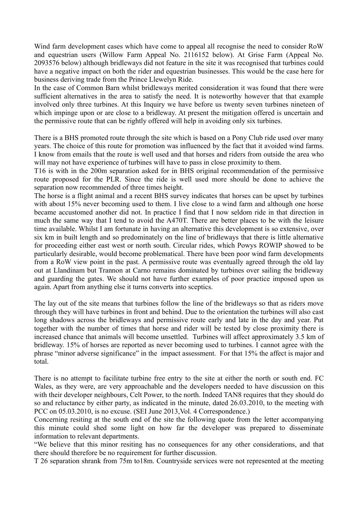Wind farm development cases which have come to appeal all recognise the need to consider RoW and equestrian users (Willow Farm Appeal No. 2116152 below). At Grise Farm (Appeal No. 2093576 below) although bridleways did not feature in the site it was recognised that turbines could have a negative impact on both the rider and equestrian businesses. This would be the case here for business deriving trade from the Prince Llewelyn Ride.

In the case of Common Barn whilst bridleways merited consideration it was found that there were sufficient alternatives in the area to satisfy the need. It is noteworthy however that that example involved only three turbines. At this Inquiry we have before us twenty seven turbines nineteen of which impinge upon or are close to a bridleway. At present the mitigation offered is uncertain and the permissive route that can be rightly offered will help in avoiding only six turbines.

There is a BHS promoted route through the site which is based on a Pony Club ride used over many years. The choice of this route for promotion was influenced by the fact that it avoided wind farms. I know from emails that the route is well used and that horses and riders from outside the area who will may not have experience of turbines will have to pass in close proximity to them.

T16 is with in the 200m separation asked for in BHS original recommendation of the permissive route proposed for the PLR. Since the ride is well used more should be done to achieve the separation now recommended of three times height.

The horse is a flight animal and a recent BHS survey indicates that horses can be upset by turbines with about 15% never becoming used to them. I live close to a wind farm and although one horse became accustomed another did not. In practice I find that I now seldom ride in that direction in much the same way that I tend to avoid the A470T. There are better places to be with the leisure time available. Whilst I am fortunate in having an alternative this development is so extensive, over six km in built length and so predominately on the line of bridleways that there is little alternative for proceeding either east west or north south. Circular rides, which Powys ROWIP showed to be particularly desirable, would become problematical. There have been poor wind farm developments from a RoW view point in the past. A permissive route was eventually agreed through the old lay out at Llandinam but Trannon at Carno remains dominated by turbines over sailing the bridleway and guarding the gates. We should not have further examples of poor practice imposed upon us again. Apart from anything else it turns converts into sceptics.

The lay out of the site means that turbines follow the line of the bridleways so that as riders move through they will have turbines in front and behind. Due to the orientation the turbines will also cast long shadows across the bridleways and permissive route early and late in the day and year. Put together with the number of times that horse and rider will be tested by close proximity there is increased chance that animals will become unsettled. Turbines will affect approximately 3.5 km of bridleway. 15% of horses are reported as never becoming used to turbines. I cannot agree with the phrase "minor adverse significance" in the impact assessment. For that 15% the affect is major and total.

There is no attempt to facilitate turbine free entry to the site at either the north or south end. FC Wales, as they were, are very approachable and the developers needed to have discussion on this with their developer neighbours, Celt Power, to the north. Indeed TAN8 requires that they should do so and reluctance by either party, as indicated in the minute, dated 26.03.2010, to the meeting with PCC on 05.03.2010, is no excuse. (SEI June 2013,Vol. 4 Correspondence.)

Concerning resiting at the south end of the site the following quote from the letter accompanying this minute could shed some light on how far the developer was prepared to disseminate information to relevant departments.

"We believe that this minor resiting has no consequences for any other considerations, and that there should therefore be no requirement for further discussion.

T 26 separation shrank from 75m to18m. Countryside services were not represented at the meeting